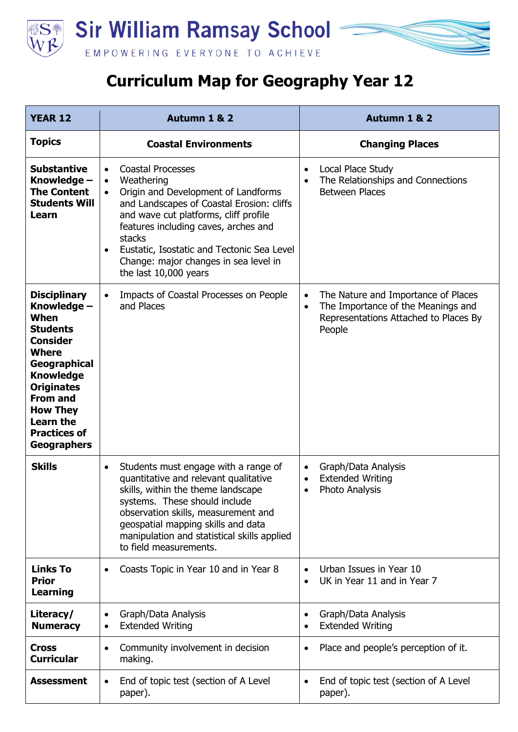

## **Curriculum Map for Geography Year 12**

| <b>YEAR 12</b>                                                                                                                                                                                                                                                   | Autumn 1 & 2                                                                                                                                                                                                                                                                                                                                                                              | Autumn 1 & 2                                                                                                                                           |
|------------------------------------------------------------------------------------------------------------------------------------------------------------------------------------------------------------------------------------------------------------------|-------------------------------------------------------------------------------------------------------------------------------------------------------------------------------------------------------------------------------------------------------------------------------------------------------------------------------------------------------------------------------------------|--------------------------------------------------------------------------------------------------------------------------------------------------------|
| <b>Topics</b>                                                                                                                                                                                                                                                    | <b>Coastal Environments</b>                                                                                                                                                                                                                                                                                                                                                               | <b>Changing Places</b>                                                                                                                                 |
| <b>Substantive</b><br>Knowledge -<br><b>The Content</b><br><b>Students Will</b><br>Learn                                                                                                                                                                         | <b>Coastal Processes</b><br>$\bullet$<br>Weathering<br>$\bullet$<br>Origin and Development of Landforms<br>$\bullet$<br>and Landscapes of Coastal Erosion: cliffs<br>and wave cut platforms, cliff profile<br>features including caves, arches and<br>stacks<br>Eustatic, Isostatic and Tectonic Sea Level<br>$\bullet$<br>Change: major changes in sea level in<br>the last 10,000 years | Local Place Study<br>$\bullet$<br>The Relationships and Connections<br>$\bullet$<br><b>Between Places</b>                                              |
| <b>Disciplinary</b><br>Knowledge -<br>When<br><b>Students</b><br><b>Consider</b><br><b>Where</b><br>Geographical<br><b>Knowledge</b><br><b>Originates</b><br><b>From and</b><br><b>How They</b><br><b>Learn the</b><br><b>Practices of</b><br><b>Geographers</b> | Impacts of Coastal Processes on People<br>$\bullet$<br>and Places                                                                                                                                                                                                                                                                                                                         | The Nature and Importance of Places<br>$\bullet$<br>The Importance of the Meanings and<br>$\bullet$<br>Representations Attached to Places By<br>People |
| <b>Skills</b>                                                                                                                                                                                                                                                    | Students must engage with a range of<br>$\bullet$<br>quantitative and relevant qualitative<br>skills, within the theme landscape<br>systems. These should include<br>observation skills, measurement and<br>geospatial mapping skills and data<br>manipulation and statistical skills applied<br>to field measurements.                                                                   | Graph/Data Analysis<br>$\bullet$<br><b>Extended Writing</b><br>$\bullet$<br><b>Photo Analysis</b><br>$\bullet$                                         |
| <b>Links To</b><br><b>Prior</b><br><b>Learning</b>                                                                                                                                                                                                               | Coasts Topic in Year 10 and in Year 8                                                                                                                                                                                                                                                                                                                                                     | Urban Issues in Year 10<br>$\bullet$<br>UK in Year 11 and in Year 7<br>$\bullet$                                                                       |
| Literacy/<br><b>Numeracy</b>                                                                                                                                                                                                                                     | Graph/Data Analysis<br>$\bullet$<br><b>Extended Writing</b>                                                                                                                                                                                                                                                                                                                               | Graph/Data Analysis<br>$\bullet$<br><b>Extended Writing</b>                                                                                            |
| <b>Cross</b><br><b>Curricular</b>                                                                                                                                                                                                                                | Community involvement in decision<br>$\bullet$<br>making.                                                                                                                                                                                                                                                                                                                                 | Place and people's perception of it.<br>$\bullet$                                                                                                      |
| <b>Assessment</b>                                                                                                                                                                                                                                                | End of topic test (section of A Level<br>$\bullet$<br>paper).                                                                                                                                                                                                                                                                                                                             | End of topic test (section of A Level<br>$\bullet$<br>paper).                                                                                          |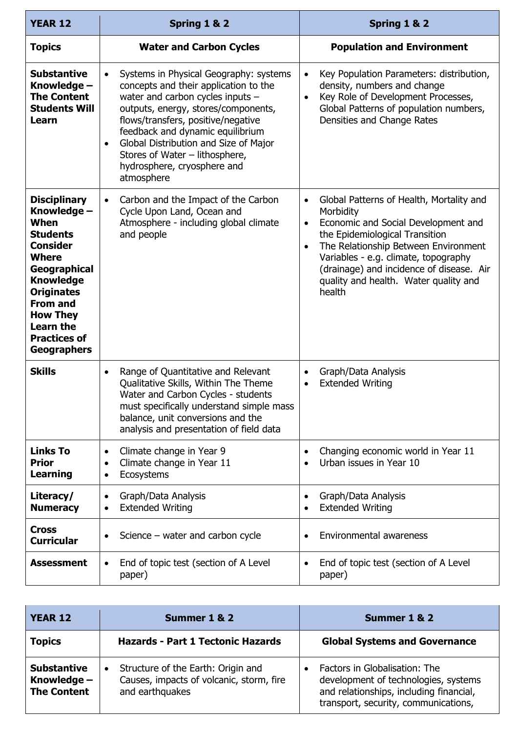| <b>YEAR 12</b>                                                                                                                                                                                                                                                   | Spring 1 & 2                                                                                                                                                                                                                                                                                                                                                                           | Spring 1 & 2                                                                                                                                                                                                                                                                                                                                         |
|------------------------------------------------------------------------------------------------------------------------------------------------------------------------------------------------------------------------------------------------------------------|----------------------------------------------------------------------------------------------------------------------------------------------------------------------------------------------------------------------------------------------------------------------------------------------------------------------------------------------------------------------------------------|------------------------------------------------------------------------------------------------------------------------------------------------------------------------------------------------------------------------------------------------------------------------------------------------------------------------------------------------------|
| <b>Topics</b>                                                                                                                                                                                                                                                    | <b>Water and Carbon Cycles</b>                                                                                                                                                                                                                                                                                                                                                         | <b>Population and Environment</b>                                                                                                                                                                                                                                                                                                                    |
| <b>Substantive</b><br>Knowledge -<br><b>The Content</b><br><b>Students Will</b><br>Learn                                                                                                                                                                         | Systems in Physical Geography: systems<br>$\bullet$<br>concepts and their application to the<br>water and carbon cycles inputs -<br>outputs, energy, stores/components,<br>flows/transfers, positive/negative<br>feedback and dynamic equilibrium<br>Global Distribution and Size of Major<br>$\bullet$<br>Stores of Water - lithosphere,<br>hydrosphere, cryosphere and<br>atmosphere | Key Population Parameters: distribution,<br>$\bullet$<br>density, numbers and change<br>Key Role of Development Processes,<br>$\bullet$<br>Global Patterns of population numbers,<br>Densities and Change Rates                                                                                                                                      |
| <b>Disciplinary</b><br>Knowledge -<br>When<br><b>Students</b><br><b>Consider</b><br><b>Where</b><br>Geographical<br><b>Knowledge</b><br><b>Originates</b><br><b>From and</b><br><b>How They</b><br><b>Learn the</b><br><b>Practices of</b><br><b>Geographers</b> | Carbon and the Impact of the Carbon<br>$\bullet$<br>Cycle Upon Land, Ocean and<br>Atmosphere - including global climate<br>and people                                                                                                                                                                                                                                                  | Global Patterns of Health, Mortality and<br>$\bullet$<br>Morbidity<br>Economic and Social Development and<br>$\bullet$<br>the Epidemiological Transition<br>The Relationship Between Environment<br>$\bullet$<br>Variables - e.g. climate, topography<br>(drainage) and incidence of disease. Air<br>quality and health. Water quality and<br>health |
| <b>Skills</b>                                                                                                                                                                                                                                                    | Range of Quantitative and Relevant<br>$\bullet$<br>Qualitative Skills, Within The Theme<br>Water and Carbon Cycles - students<br>must specifically understand simple mass<br>balance, unit conversions and the<br>analysis and presentation of field data                                                                                                                              | Graph/Data Analysis<br>$\bullet$<br><b>Extended Writing</b><br>$\bullet$                                                                                                                                                                                                                                                                             |
| <b>Links To</b><br><b>Prior</b><br>Learning                                                                                                                                                                                                                      | Climate change in Year 9<br>$\bullet$<br>Climate change in Year 11<br>$\bullet$<br>Ecosystems<br>$\bullet$                                                                                                                                                                                                                                                                             | Changing economic world in Year 11<br>Urban issues in Year 10                                                                                                                                                                                                                                                                                        |
| Literacy/<br><b>Numeracy</b>                                                                                                                                                                                                                                     | Graph/Data Analysis<br>$\bullet$<br><b>Extended Writing</b><br>$\bullet$                                                                                                                                                                                                                                                                                                               | Graph/Data Analysis<br>$\bullet$<br><b>Extended Writing</b><br>$\bullet$                                                                                                                                                                                                                                                                             |
| <b>Cross</b><br><b>Curricular</b>                                                                                                                                                                                                                                | Science $-$ water and carbon cycle<br>$\bullet$                                                                                                                                                                                                                                                                                                                                        | Environmental awareness<br>$\bullet$                                                                                                                                                                                                                                                                                                                 |
| <b>Assessment</b>                                                                                                                                                                                                                                                | End of topic test (section of A Level<br>$\bullet$<br>paper)                                                                                                                                                                                                                                                                                                                           | End of topic test (section of A Level<br>$\bullet$<br>paper)                                                                                                                                                                                                                                                                                         |

| <b>YEAR 12</b>                                            | Summer 1 & 2                                                                                      | Summer 1 & 2                                                                                                                                             |
|-----------------------------------------------------------|---------------------------------------------------------------------------------------------------|----------------------------------------------------------------------------------------------------------------------------------------------------------|
| <b>Topics</b>                                             | <b>Hazards - Part 1 Tectonic Hazards</b>                                                          | <b>Global Systems and Governance</b>                                                                                                                     |
| <b>Substantive</b><br>Knowledge $-$<br><b>The Content</b> | Structure of the Earth: Origin and<br>Causes, impacts of volcanic, storm, fire<br>and earthquakes | Factors in Globalisation: The<br>development of technologies, systems<br>and relationships, including financial,<br>transport, security, communications, |